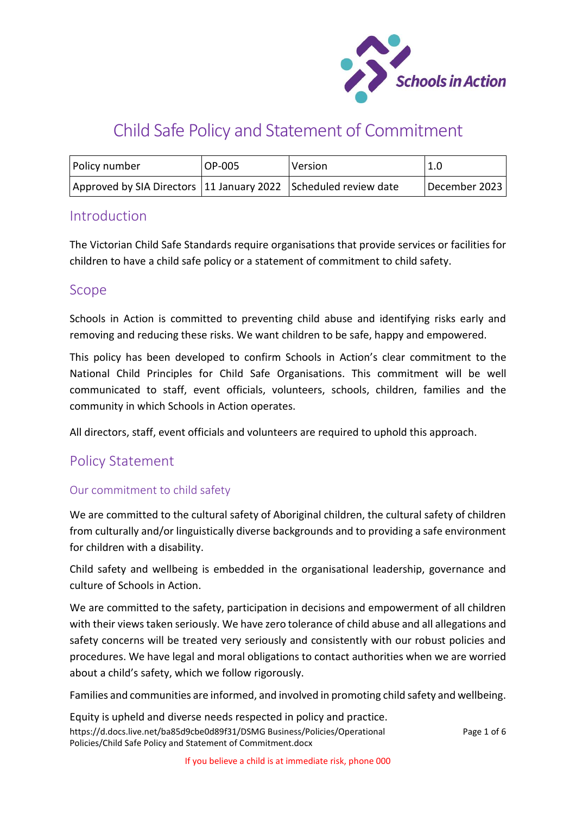

# Child Safe Policy and Statement of Commitment

| Policy number                                                     | OP-005 | Version | 1.0           |
|-------------------------------------------------------------------|--------|---------|---------------|
| Approved by SIA Directors   11 January 2022 Scheduled review date |        |         | December 2023 |

# **Introduction**

The Victorian Child Safe Standards require organisations that provide services or facilities for children to have a child safe policy or a statement of commitment to child safety.

# Scope

Schools in Action is committed to preventing child abuse and identifying risks early and removing and reducing these risks. We want children to be safe, happy and empowered.

This policy has been developed to confirm Schools in Action's clear commitment to the National Child Principles for Child Safe Organisations. This commitment will be well communicated to staff, event officials, volunteers, schools, children, families and the community in which Schools in Action operates.

All directors, staff, event officials and volunteers are required to uphold this approach.

# Policy Statement

# Our commitment to child safety

We are committed to the cultural safety of Aboriginal children, the cultural safety of children from culturally and/or linguistically diverse backgrounds and to providing a safe environment for children with a disability.

Child safety and wellbeing is embedded in the organisational leadership, governance and culture of Schools in Action.

We are committed to the safety, participation in decisions and empowerment of all children with their views taken seriously. We have zero tolerance of child abuse and all allegations and safety concerns will be treated very seriously and consistently with our robust policies and procedures. We have legal and moral obligations to contact authorities when we are worried about a child's safety, which we follow rigorously.

Families and communities are informed, and involved in promoting child safety and wellbeing.

https://d.docs.live.net/ba85d9cbe0d89f31/DSMG Business/Policies/Operational Policies/Child Safe Policy and Statement of Commitment.docx Equity is upheld and diverse needs respected in policy and practice.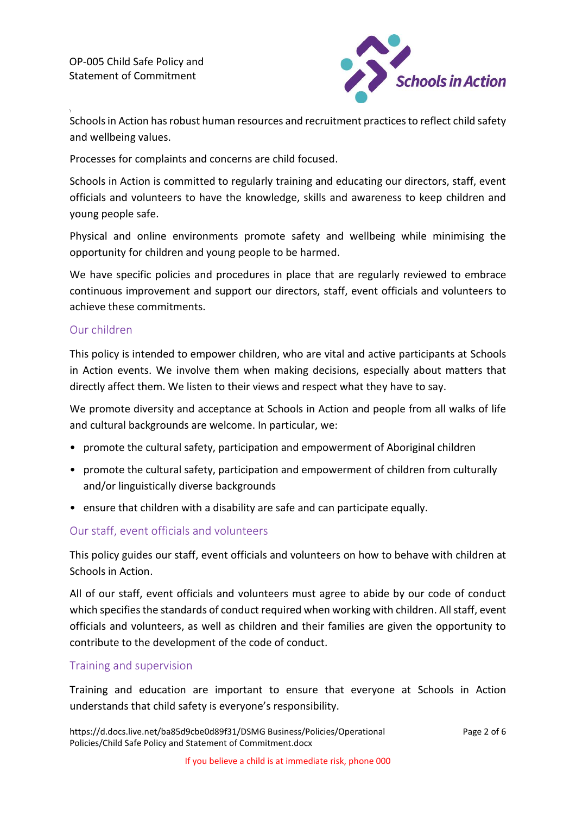OP-005 Child Safe Policy and Statement of Commitment



Schools in Action has robust human resources and recruitment practices to reflect child safety and wellbeing values.

Processes for complaints and concerns are child focused.

Schools in Action is committed to regularly training and educating our directors, staff, event officials and volunteers to have the knowledge, skills and awareness to keep children and young people safe.

Physical and online environments promote safety and wellbeing while minimising the opportunity for children and young people to be harmed.

We have specific policies and procedures in place that are regularly reviewed to embrace continuous improvement and support our directors, staff, event officials and volunteers to achieve these commitments.

#### Our children

This policy is intended to empower children, who are vital and active participants at Schools in Action events. We involve them when making decisions, especially about matters that directly affect them. We listen to their views and respect what they have to say.

We promote diversity and acceptance at Schools in Action and people from all walks of life and cultural backgrounds are welcome. In particular, we:

- promote the cultural safety, participation and empowerment of Aboriginal children
- promote the cultural safety, participation and empowerment of children from culturally and/or linguistically diverse backgrounds
- ensure that children with a disability are safe and can participate equally.

#### Our staff, event officials and volunteers

This policy guides our staff, event officials and volunteers on how to behave with children at Schools in Action.

All of our staff, event officials and volunteers must agree to abide by our code of conduct which specifies the standards of conduct required when working with children. All staff, event officials and volunteers, as well as children and their families are given the opportunity to contribute to the development of the code of conduct.

# Training and supervision

Training and education are important to ensure that everyone at Schools in Action understands that child safety is everyone's responsibility.

https://d.docs.live.net/ba85d9cbe0d89f31/DSMG Business/Policies/Operational Policies/Child Safe Policy and Statement of Commitment.docx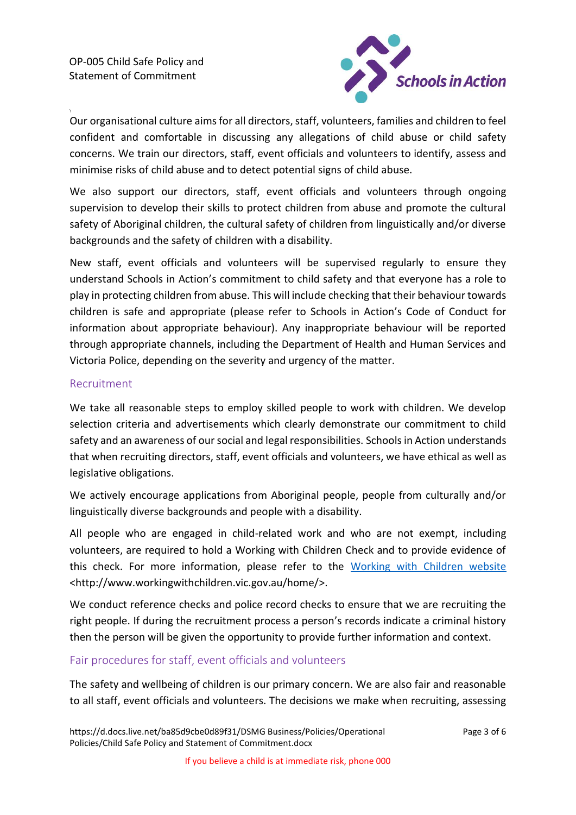

Our organisational culture aims for all directors, staff, volunteers, families and children to feel confident and comfortable in discussing any allegations of child abuse or child safety concerns. We train our directors, staff, event officials and volunteers to identify, assess and minimise risks of child abuse and to detect potential signs of child abuse.

We also support our directors, staff, event officials and volunteers through ongoing supervision to develop their skills to protect children from abuse and promote the cultural safety of Aboriginal children, the cultural safety of children from linguistically and/or diverse backgrounds and the safety of children with a disability.

New staff, event officials and volunteers will be supervised regularly to ensure they understand Schools in Action's commitment to child safety and that everyone has a role to play in protecting children from abuse. This will include checking that their behaviour towards children is safe and appropriate (please refer to Schools in Action's Code of Conduct for information about appropriate behaviour). Any inappropriate behaviour will be reported through appropriate channels, including the Department of Health and Human Services and Victoria Police, depending on the severity and urgency of the matter.

# Recruitment

We take all reasonable steps to employ skilled people to work with children. We develop selection criteria and advertisements which clearly demonstrate our commitment to child safety and an awareness of our social and legal responsibilities. Schools in Action understands that when recruiting directors, staff, event officials and volunteers, we have ethical as well as legislative obligations.

We actively encourage applications from Aboriginal people, people from culturally and/or linguistically diverse backgrounds and people with a disability.

All people who are engaged in child-related work and who are not exempt, including volunteers, are required to hold a Working with Children Check and to provide evidence of this check. For more information, please refer to the [Working with Children website](http://www.workingwithchildren.vic.gov.au/home/) <http://www.workingwithchildren.vic.gov.au/home/>.

We conduct reference checks and police record checks to ensure that we are recruiting the right people. If during the recruitment process a person's records indicate a criminal history then the person will be given the opportunity to provide further information and context.

# Fair procedures for staff, event officials and volunteers

The safety and wellbeing of children is our primary concern. We are also fair and reasonable to all staff, event officials and volunteers. The decisions we make when recruiting, assessing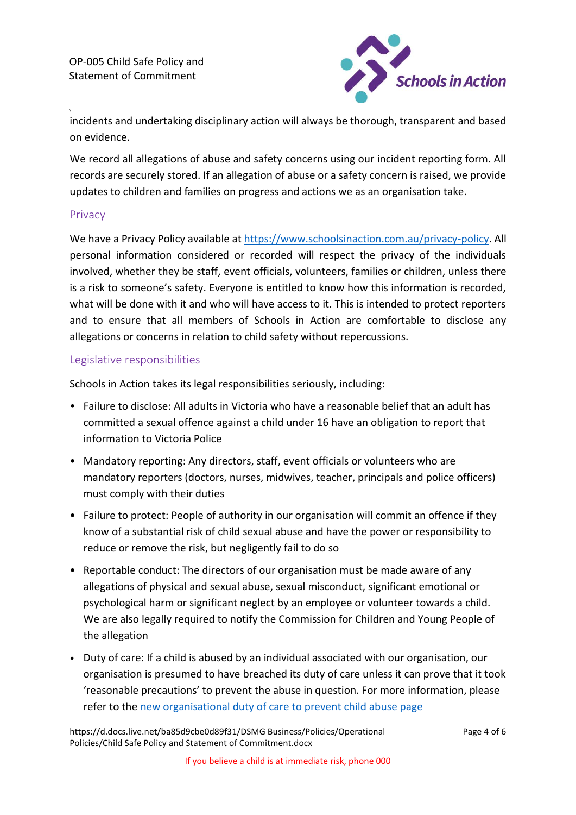OP-005 Child Safe Policy and Statement of Commitment



incidents and undertaking disciplinary action will always be thorough, transparent and based on evidence.

We record all allegations of abuse and safety concerns using our incident reporting form. All records are securely stored. If an allegation of abuse or a safety concern is raised, we provide updates to children and families on progress and actions we as an organisation take.

#### **Privacy**

We have a Privacy Policy available at [https://www.schoolsinaction.com.au/privacy-policy.](https://www.schoolsinaction.com.au/privacy-policy) All personal information considered or recorded will respect the privacy of the individuals involved, whether they be staff, event officials, volunteers, families or children, unless there is a risk to someone's safety. Everyone is entitled to know how this information is recorded, what will be done with it and who will have access to it. This is intended to protect reporters and to ensure that all members of Schools in Action are comfortable to disclose any allegations or concerns in relation to child safety without repercussions.

# Legislative responsibilities

Schools in Action takes its legal responsibilities seriously, including:

- Failure to disclose: All adults in Victoria who have a reasonable belief that an adult has committed a sexual offence against a child under 16 have an obligation to report that information to Victoria Police
- Mandatory reporting: Any directors, staff, event officials or volunteers who are mandatory reporters (doctors, nurses, midwives, teacher, principals and police officers) must comply with their duties
- Failure to protect: People of authority in our organisation will commit an offence if they know of a substantial risk of child sexual abuse and have the power or responsibility to reduce or remove the risk, but negligently fail to do so
- Reportable conduct: The directors of our organisation must be made aware of any allegations of physical and sexual abuse, sexual misconduct, significant emotional or psychological harm or significant neglect by an employee or volunteer towards a child. We are also legally required to notify the Commission for Children and Young People of the allegation
- Duty of care: If a child is abused by an individual associated with our organisation, our organisation is presumed to have breached its duty of care unless it can prove that it took 'reasonable precautions' to prevent the abuse in question. For more information, please refer to the [new organisational duty of care to prevent child abuse page](https://www.justice.vic.gov.au/safer-communities/protecting-children-and-families/betrayal-of-trust-fact-sheet-the-new)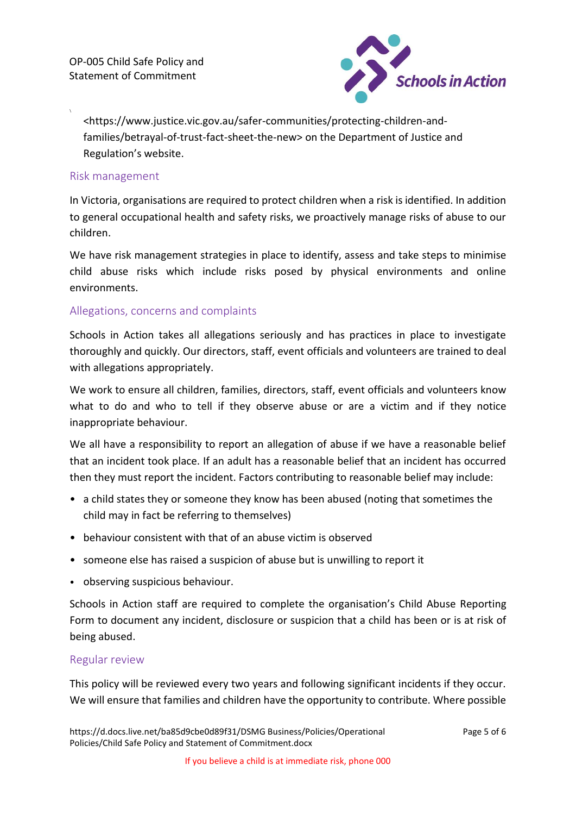

<https://www.justice.vic.gov.au/safer-communities/protecting-children-andfamilies/betrayal-of-trust-fact-sheet-the-new> on the Department of Justice and Regulation's website.

### Risk management

In Victoria, organisations are required to protect children when a risk is identified. In addition to general occupational health and safety risks, we proactively manage risks of abuse to our children.

We have risk management strategies in place to identify, assess and take steps to minimise child abuse risks which include risks posed by physical environments and online environments.

# Allegations, concerns and complaints

Schools in Action takes all allegations seriously and has practices in place to investigate thoroughly and quickly. Our directors, staff, event officials and volunteers are trained to deal with allegations appropriately.

We work to ensure all children, families, directors, staff, event officials and volunteers know what to do and who to tell if they observe abuse or are a victim and if they notice inappropriate behaviour.

We all have a responsibility to report an allegation of abuse if we have a reasonable belief that an incident took place. If an adult has a reasonable belief that an incident has occurred then they must report the incident. Factors contributing to reasonable belief may include:

- a child states they or someone they know has been abused (noting that sometimes the child may in fact be referring to themselves)
- behaviour consistent with that of an abuse victim is observed
- someone else has raised a suspicion of abuse but is unwilling to report it
- observing suspicious behaviour.

Schools in Action staff are required to complete the organisation's Child Abuse Reporting Form to document any incident, disclosure or suspicion that a child has been or is at risk of being abused.

#### Regular review

This policy will be reviewed every two years and following significant incidents if they occur. We will ensure that families and children have the opportunity to contribute. Where possible